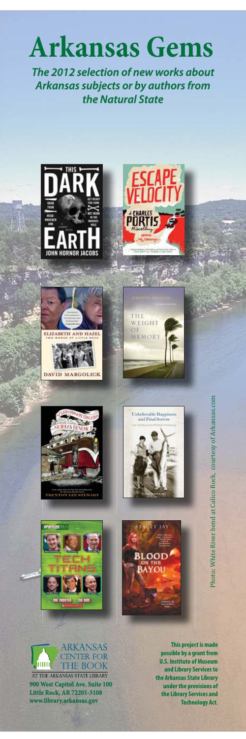

*The 2012 selection of new works about Arkansas subjects or by authors from the Natural State*



















**This project is made possible by a grant from U.S. Institute of Museum and Library Services to the Arkansas State Library under the provisions of the Library Services and Technology Act**.<br>Photo: White River bend at Calico Rock, courtesy of Arkansas.com<br>Propert is made<br>As State Library Services and Archard at Calico Rock, courtesy of Arkansas.com<br>In Services and Archardogy Act.